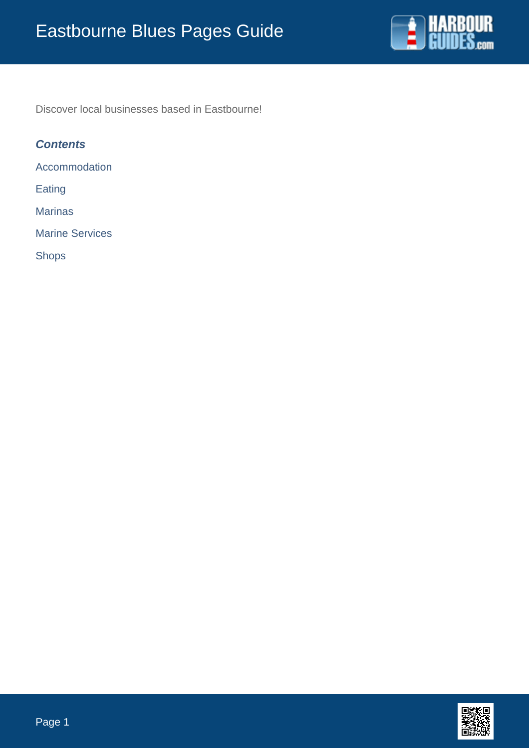

Discover local businesses based in Eastbourne!

## **Contents**

Accommodation

Eating

Marinas

Marine Services

Shops

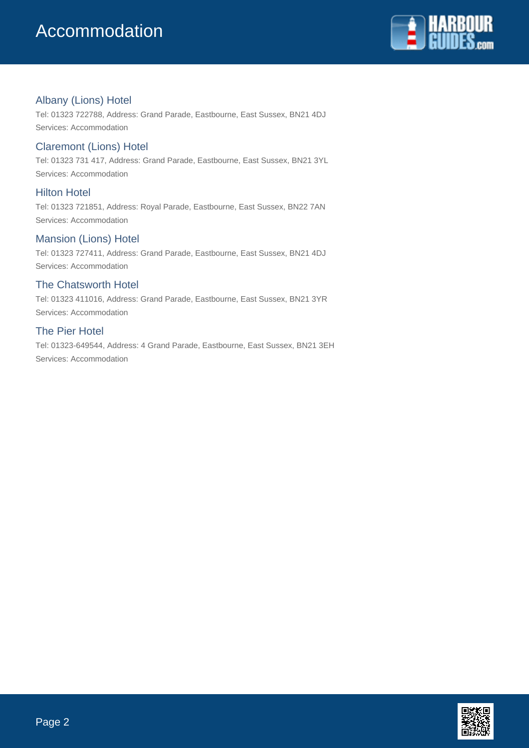

## Albany (Lions) Hotel

Tel: 01323 722788, Address: Grand Parade, Eastbourne, East Sussex, BN21 4DJ Services: Accommodation

## Claremont (Lions) Hotel

Tel: 01323 731 417, Address: Grand Parade, Eastbourne, East Sussex, BN21 3YL Services: Accommodation

## Hilton Hotel

Tel: 01323 721851, Address: Royal Parade, Eastbourne, East Sussex, BN22 7AN Services: Accommodation

## Mansion (Lions) Hotel

Tel: 01323 727411, Address: Grand Parade, Eastbourne, East Sussex, BN21 4DJ Services: Accommodation

## The Chatsworth Hotel

Tel: 01323 411016, Address: Grand Parade, Eastbourne, East Sussex, BN21 3YR Services: Accommodation

### The Pier Hotel

Tel: 01323-649544, Address: 4 Grand Parade, Eastbourne, East Sussex, BN21 3EH Services: Accommodation

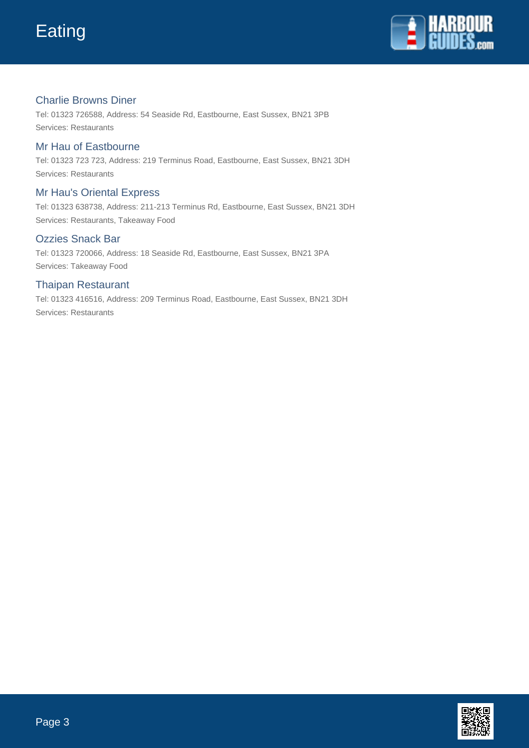

## Charlie Browns Diner

Tel: 01323 726588, Address: 54 Seaside Rd, Eastbourne, East Sussex, BN21 3PB Services: Restaurants

## Mr Hau of Eastbourne

Tel: 01323 723 723, Address: 219 Terminus Road, Eastbourne, East Sussex, BN21 3DH Services: Restaurants

## Mr Hau's Oriental Express

Tel: 01323 638738, Address: 211-213 Terminus Rd, Eastbourne, East Sussex, BN21 3DH Services: Restaurants, Takeaway Food

### Ozzies Snack Bar

Tel: 01323 720066, Address: 18 Seaside Rd, Eastbourne, East Sussex, BN21 3PA Services: Takeaway Food

## Thaipan Restaurant

Tel: 01323 416516, Address: 209 Terminus Road, Eastbourne, East Sussex, BN21 3DH Services: Restaurants

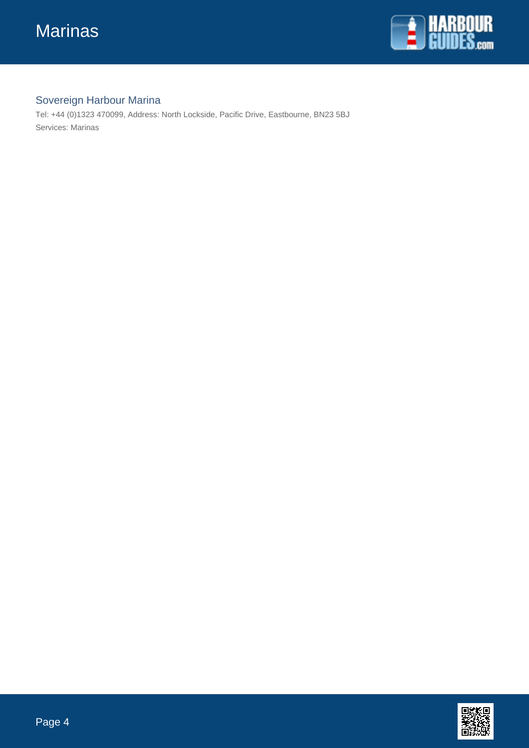

# Sovereign Harbour Marina

Tel: +44 (0)1323 470099, Address: North Lockside, Pacific Drive, Eastbourne, BN23 5BJ Services: Marinas

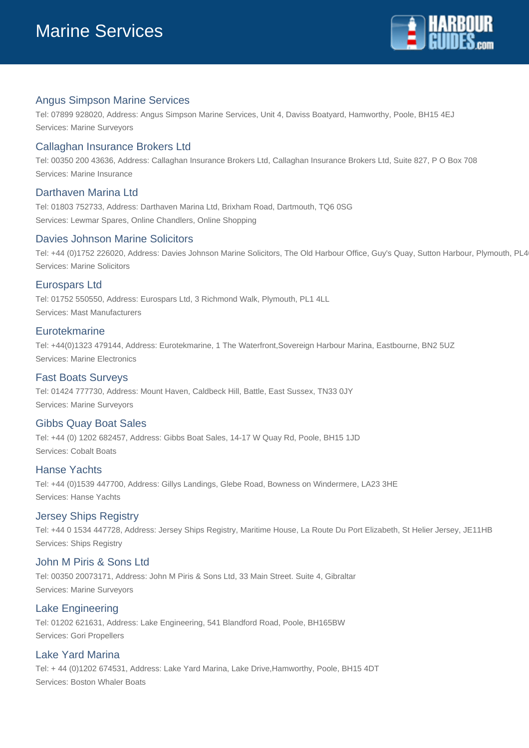

## Angus Simpson Marine Services

Tel: 07899 928020, Address: Angus Simpson Marine Services, Unit 4, Daviss Boatyard, Hamworthy, Poole, BH15 4EJ Services: Marine Surveyors

### Callaghan Insurance Brokers Ltd

Tel: 00350 200 43636, Address: Callaghan Insurance Brokers Ltd, Callaghan Insurance Brokers Ltd, Suite 827, P O Box 708 Services: Marine Insurance

### Darthaven Marina Ltd

Tel: 01803 752733, Address: Darthaven Marina Ltd, Brixham Road, Dartmouth, TQ6 0SG Services: Lewmar Spares, Online Chandlers, Online Shopping

#### Davies Johnson Marine Solicitors

Tel: +44 (0)1752 226020, Address: Davies Johnson Marine Solicitors, The Old Harbour Office, Guy's Quay, Sutton Harbour, Plymouth, PL4 Services: Marine Solicitors

#### Eurospars Ltd

Tel: 01752 550550, Address: Eurospars Ltd, 3 Richmond Walk, Plymouth, PL1 4LL Services: Mast Manufacturers

#### **Eurotekmarine**

Tel: +44(0)1323 479144, Address: Eurotekmarine, 1 The Waterfront,Sovereign Harbour Marina, Eastbourne, BN2 5UZ Services: Marine Electronics

#### Fast Boats Surveys

Tel: 01424 777730, Address: Mount Haven, Caldbeck Hill, Battle, East Sussex, TN33 0JY Services: Marine Surveyors

#### Gibbs Quay Boat Sales

Tel: +44 (0) 1202 682457, Address: Gibbs Boat Sales, 14-17 W Quay Rd, Poole, BH15 1JD Services: Cobalt Boats

#### Hanse Yachts

Tel: +44 (0)1539 447700, Address: Gillys Landings, Glebe Road, Bowness on Windermere, LA23 3HE Services: Hanse Yachts

#### Jersey Ships Registry

Tel: +44 0 1534 447728, Address: Jersey Ships Registry, Maritime House, La Route Du Port Elizabeth, St Helier Jersey, JE11HB Services: Ships Registry

### John M Piris & Sons Ltd

Tel: 00350 20073171, Address: John M Piris & Sons Ltd, 33 Main Street. Suite 4, Gibraltar Services: Marine Surveyors

#### Lake Engineering

Tel: 01202 621631, Address: Lake Engineering, 541 Blandford Road, Poole, BH165BW Services: Gori Propellers

#### Lake Yard Marina

Tel: + 44 (0)1202 674531, Address: Lake Yard Marina, Lake Drive,Hamworthy, Poole, BH15 4DT Services: Boston Whaler Boats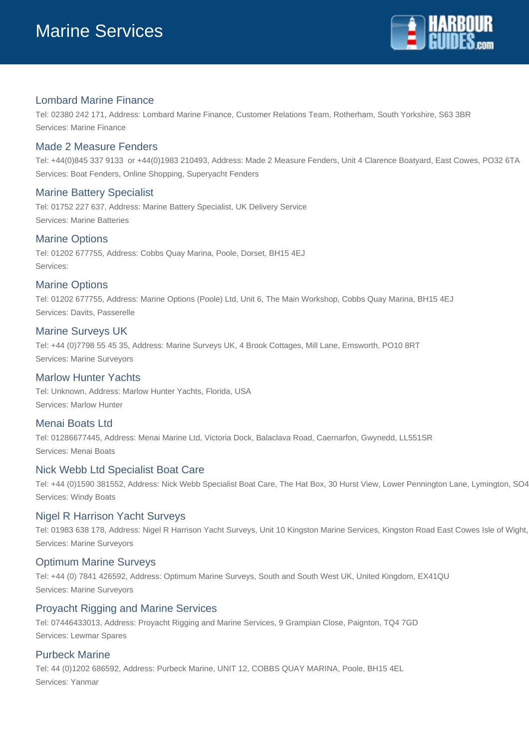

## Lombard Marine Finance

Tel: 02380 242 171, Address: Lombard Marine Finance, Customer Relations Team, Rotherham, South Yorkshire, S63 3BR Services: Marine Finance

### Made 2 Measure Fenders

Tel: +44(0)845 337 9133 or +44(0)1983 210493, Address: Made 2 Measure Fenders, Unit 4 Clarence Boatyard, East Cowes, PO32 6TA Services: Boat Fenders, Online Shopping, Superyacht Fenders

### Marine Battery Specialist

Tel: 01752 227 637, Address: Marine Battery Specialist, UK Delivery Service Services: Marine Batteries

#### Marine Options

Tel: 01202 677755, Address: Cobbs Quay Marina, Poole, Dorset, BH15 4EJ Services:

### Marine Options

Tel: 01202 677755, Address: Marine Options (Poole) Ltd, Unit 6, The Main Workshop, Cobbs Quay Marina, BH15 4EJ Services: Davits, Passerelle

#### Marine Surveys UK

Tel: +44 (0)7798 55 45 35, Address: Marine Surveys UK, 4 Brook Cottages, Mill Lane, Emsworth, PO10 8RT Services: Marine Surveyors

### Marlow Hunter Yachts

Tel: Unknown, Address: Marlow Hunter Yachts, Florida, USA Services: Marlow Hunter

#### Menai Boats Ltd

Tel: 01286677445, Address: Menai Marine Ltd, Victoria Dock, Balaclava Road, Caernarfon, Gwynedd, LL551SR Services: Menai Boats

#### Nick Webb Ltd Specialist Boat Care

Tel: +44 (0)1590 381552, Address: Nick Webb Specialist Boat Care, The Hat Box, 30 Hurst View, Lower Pennington Lane, Lymington, SO4 Services: Windy Boats

#### Nigel R Harrison Yacht Surveys

Tel: 01983 638 178, Address: Nigel R Harrison Yacht Surveys, Unit 10 Kingston Marine Services, Kingston Road East Cowes Isle of Wight, Services: Marine Surveyors

#### Optimum Marine Surveys

Tel: +44 (0) 7841 426592, Address: Optimum Marine Surveys, South and South West UK, United Kingdom, EX41QU Services: Marine Surveyors

#### Proyacht Rigging and Marine Services

Tel: 07446433013, Address: Proyacht Rigging and Marine Services, 9 Grampian Close, Paignton, TQ4 7GD Services: Lewmar Spares

#### Purbeck Marine

Tel: 44 (0)1202 686592, Address: Purbeck Marine, UNIT 12, COBBS QUAY MARINA, Poole, BH15 4EL Services: Yanmar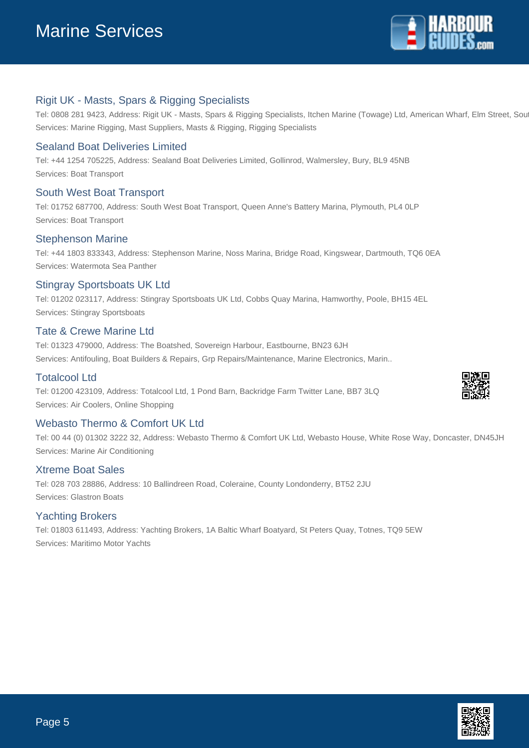

## Rigit UK - Masts, Spars & Rigging Specialists

Tel: 0808 281 9423, Address: Rigit UK - Masts, Spars & Rigging Specialists, Itchen Marine (Towage) Ltd, American Wharf, Elm Street, Southampton, Southampton, Southampton, Southampton, Southampton, Southampton, Southampton, Services: Marine Rigging, Mast Suppliers, Masts & Rigging, Rigging Specialists

## Sealand Boat Deliveries Limited

Tel: +44 1254 705225, Address: Sealand Boat Deliveries Limited, Gollinrod, Walmersley, Bury, BL9 45NB Services: Boat Transport

### South West Boat Transport

Tel: 01752 687700, Address: South West Boat Transport, Queen Anne's Battery Marina, Plymouth, PL4 0LP Services: Boat Transport

### Stephenson Marine

Tel: +44 1803 833343, Address: Stephenson Marine, Noss Marina, Bridge Road, Kingswear, Dartmouth, TQ6 0EA Services: Watermota Sea Panther

### Stingray Sportsboats UK Ltd

Tel: 01202 023117, Address: Stingray Sportsboats UK Ltd, Cobbs Quay Marina, Hamworthy, Poole, BH15 4EL Services: Stingray Sportsboats

### Tate & Crewe Marine Ltd

Tel: 01323 479000, Address: The Boatshed, Sovereign Harbour, Eastbourne, BN23 6JH Services: Antifouling, Boat Builders & Repairs, Grp Repairs/Maintenance, Marine Electronics, Marin..

#### Totalcool Ltd

Tel: 01200 423109, Address: Totalcool Ltd, 1 Pond Barn, Backridge Farm Twitter Lane, BB7 3LQ Services: Air Coolers, Online Shopping

### Webasto Thermo & Comfort UK Ltd

Tel: 00 44 (0) 01302 3222 32, Address: Webasto Thermo & Comfort UK Ltd, Webasto House, White Rose Way, Doncaster, DN45JH Services: Marine Air Conditioning

#### Xtreme Boat Sales

Tel: 028 703 28886, Address: 10 Ballindreen Road, Coleraine, County Londonderry, BT52 2JU Services: Glastron Boats

#### Yachting Brokers

Tel: 01803 611493, Address: Yachting Brokers, 1A Baltic Wharf Boatyard, St Peters Quay, Totnes, TQ9 5EW Services: Maritimo Motor Yachts



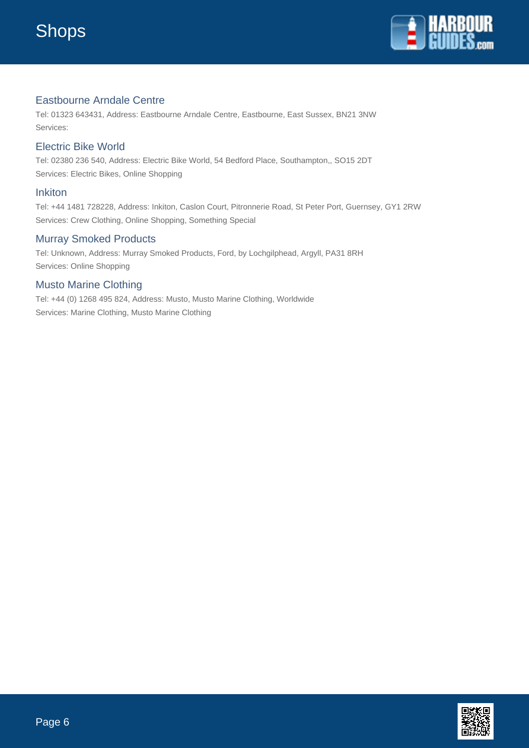

## Eastbourne Arndale Centre

Tel: 01323 643431, Address: Eastbourne Arndale Centre, Eastbourne, East Sussex, BN21 3NW Services:

## Electric Bike World

Tel: 02380 236 540, Address: Electric Bike World, 54 Bedford Place, Southampton,, SO15 2DT Services: Electric Bikes, Online Shopping

### Inkiton

Tel: +44 1481 728228, Address: Inkiton, Caslon Court, Pitronnerie Road, St Peter Port, Guernsey, GY1 2RW Services: Crew Clothing, Online Shopping, Something Special

## Murray Smoked Products

Tel: Unknown, Address: Murray Smoked Products, Ford, by Lochgilphead, Argyll, PA31 8RH Services: Online Shopping

## Musto Marine Clothing

Tel: +44 (0) 1268 495 824, Address: Musto, Musto Marine Clothing, Worldwide Services: Marine Clothing, Musto Marine Clothing